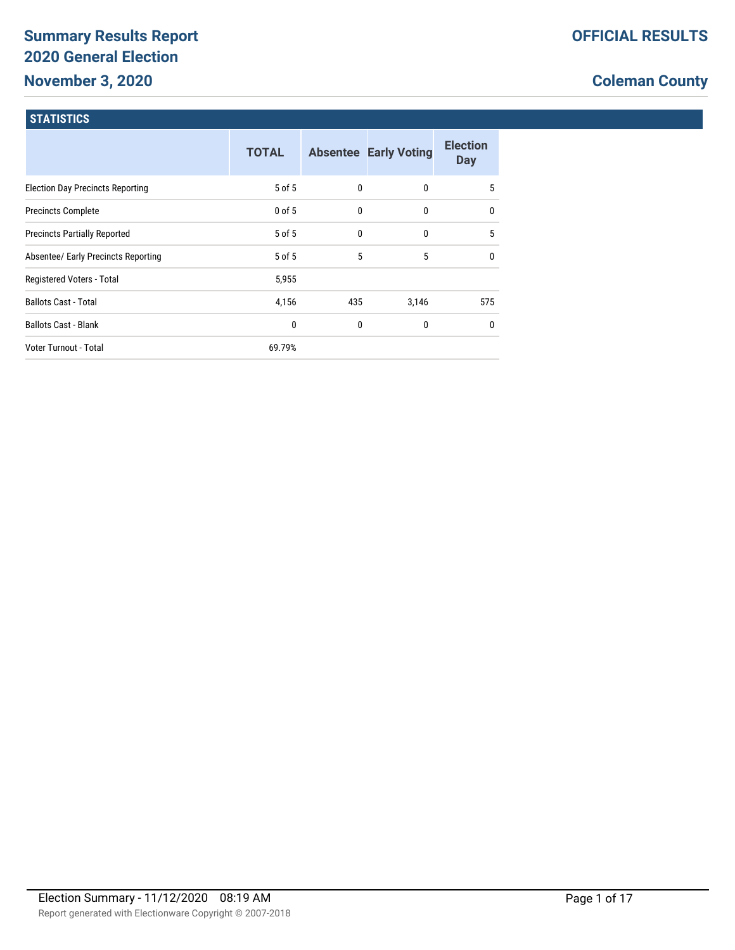# **Summary Results Report 2020 General Election November 3, 2020**

## **Coleman County**

#### **STATISTICS**

|                                         | <b>TOTAL</b> |     | <b>Absentee Early Voting</b> | <b>Election</b><br><b>Day</b> |
|-----------------------------------------|--------------|-----|------------------------------|-------------------------------|
| <b>Election Day Precincts Reporting</b> | 5 of 5       | 0   | $\mathbf{0}$                 | 5                             |
| <b>Precincts Complete</b>               | $0$ of 5     | 0   | 0                            | $\mathbf{0}$                  |
| <b>Precincts Partially Reported</b>     | 5 of 5       | 0   | $\mathbf{0}$                 | 5                             |
| Absentee/ Early Precincts Reporting     | $5$ of $5$   | 5   | 5                            | $\mathbf{0}$                  |
| Registered Voters - Total               | 5,955        |     |                              |                               |
| <b>Ballots Cast - Total</b>             | 4,156        | 435 | 3,146                        | 575                           |
| <b>Ballots Cast - Blank</b>             | 0            | 0   | 0                            | $\mathbf{0}$                  |
| Voter Turnout - Total                   | 69.79%       |     |                              |                               |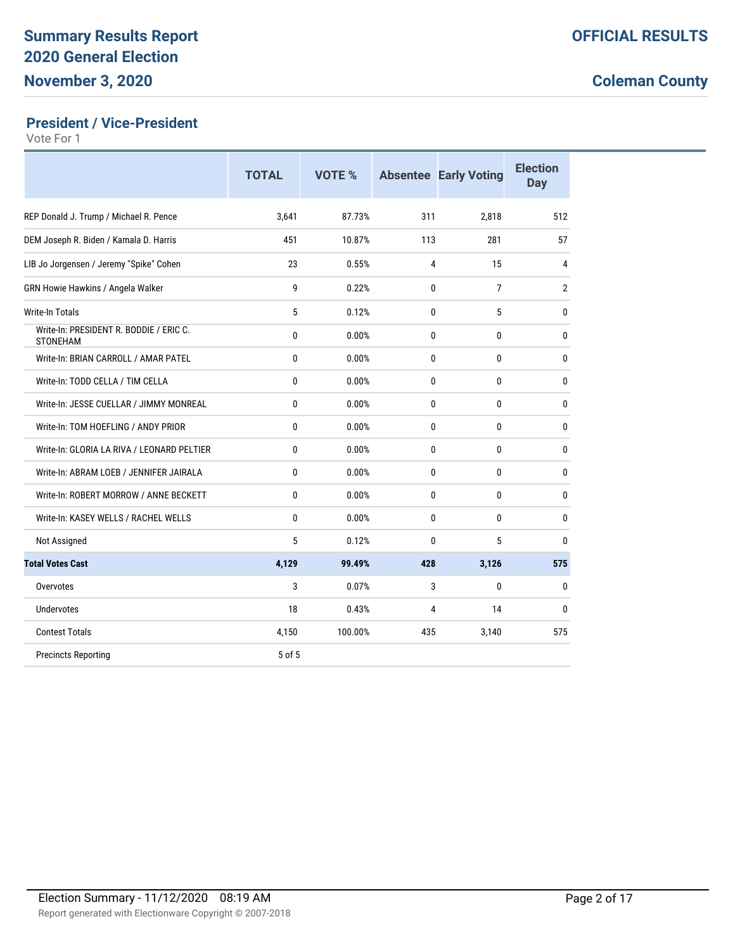### **President / Vice-President**

|                                                            | <b>TOTAL</b> | VOTE %  |              | <b>Absentee Early Voting</b> | <b>Election</b><br>Day |
|------------------------------------------------------------|--------------|---------|--------------|------------------------------|------------------------|
| REP Donald J. Trump / Michael R. Pence                     | 3,641        | 87.73%  | 311          | 2,818                        | 512                    |
| DEM Joseph R. Biden / Kamala D. Harris                     | 451          | 10.87%  | 113          | 281                          | 57                     |
| LIB Jo Jorgensen / Jeremy "Spike" Cohen                    | 23           | 0.55%   | 4            | 15                           | 4                      |
| GRN Howie Hawkins / Angela Walker                          | 9            | 0.22%   | $\mathbf{0}$ | $\overline{7}$               | $\overline{2}$         |
| <b>Write-In Totals</b>                                     | 5            | 0.12%   | $\mathbf{0}$ | 5                            | 0                      |
| Write-In: PRESIDENT R. BODDIE / ERIC C.<br><b>STONEHAM</b> | 0            | 0.00%   | $\Omega$     | 0                            | 0                      |
| Write-In: BRIAN CARROLL / AMAR PATEL                       | 0            | 0.00%   | 0            | 0                            | 0                      |
| Write-In: TODD CELLA / TIM CELLA                           | 0            | 0.00%   | $\mathbf{0}$ | 0                            | 0                      |
| Write-In: JESSE CUELLAR / JIMMY MONREAL                    | 0            | 0.00%   | $\mathbf{0}$ | 0                            | 0                      |
| Write-In: TOM HOEFLING / ANDY PRIOR                        | $\mathbf{0}$ | 0.00%   | $\mathbf{0}$ | 0                            | 0                      |
| Write-In: GLORIA LA RIVA / LEONARD PELTIER                 | 0            | 0.00%   | $\mathbf{0}$ | 0                            | 0                      |
| Write-In: ABRAM LOEB / JENNIFER JAIRALA                    | 0            | 0.00%   | $\mathbf{0}$ | $\mathbf{0}$                 | 0                      |
| Write-In: ROBERT MORROW / ANNE BECKETT                     | $\mathbf{0}$ | 0.00%   | $\mathbf{0}$ | $\mathbf{0}$                 | 0                      |
| Write-In: KASEY WELLS / RACHEL WELLS                       | 0            | 0.00%   | $\mathbf{0}$ | 0                            | 0                      |
| Not Assigned                                               | 5            | 0.12%   | $\Omega$     | 5                            | 0                      |
| <b>Total Votes Cast</b>                                    | 4,129        | 99.49%  | 428          | 3,126                        | 575                    |
| Overvotes                                                  | 3            | 0.07%   | 3            | $\mathbf{0}$                 | 0                      |
| Undervotes                                                 | 18           | 0.43%   | 4            | 14                           | 0                      |
| <b>Contest Totals</b>                                      | 4,150        | 100.00% | 435          | 3,140                        | 575                    |
| <b>Precincts Reporting</b>                                 | 5 of 5       |         |              |                              |                        |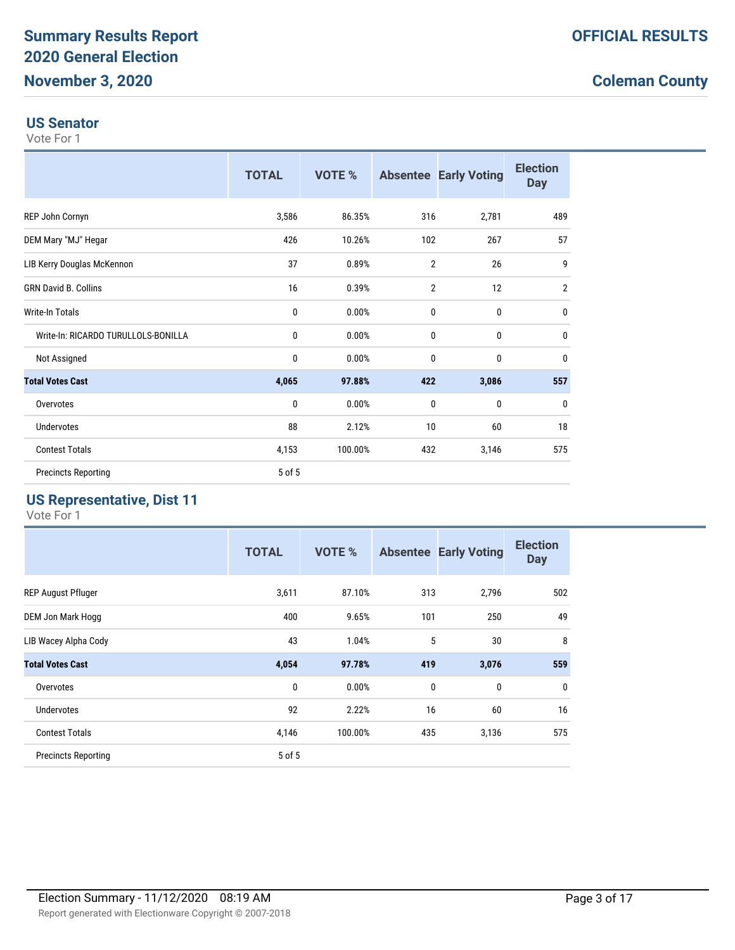#### **US Senator**

Vote For 1

|                                     | <b>TOTAL</b> | VOTE %  |                | <b>Absentee Early Voting</b> | <b>Election</b><br><b>Day</b> |
|-------------------------------------|--------------|---------|----------------|------------------------------|-------------------------------|
| REP John Cornyn                     | 3,586        | 86.35%  | 316            | 2,781                        | 489                           |
| DEM Mary "MJ" Hegar                 | 426          | 10.26%  | 102            | 267                          | 57                            |
| LIB Kerry Douglas McKennon          | 37           | 0.89%   | $\overline{2}$ | 26                           | 9                             |
| <b>GRN David B. Collins</b>         | 16           | 0.39%   | $\overline{2}$ | 12                           | $\overline{2}$                |
| Write-In Totals                     | 0            | 0.00%   | 0              | 0                            | $\mathbf{0}$                  |
| Write-In: RICARDO TURULLOLS-BONILLA | 0            | 0.00%   | 0              | $\mathbf 0$                  | 0                             |
| Not Assigned                        | 0            | 0.00%   | $\mathbf{0}$   | $\mathbf{0}$                 | $\mathbf{0}$                  |
| <b>Total Votes Cast</b>             | 4,065        | 97.88%  | 422            | 3,086                        | 557                           |
| Overvotes                           | 0            | 0.00%   | 0              | $\mathbf 0$                  | 0                             |
| Undervotes                          | 88           | 2.12%   | 10             | 60                           | 18                            |
| <b>Contest Totals</b>               | 4,153        | 100.00% | 432            | 3,146                        | 575                           |
| <b>Precincts Reporting</b>          | 5 of 5       |         |                |                              |                               |

#### **US Representative, Dist 11**

|                            | <b>TOTAL</b> | <b>VOTE %</b> |     | <b>Absentee Early Voting</b> | <b>Election</b><br><b>Day</b> |
|----------------------------|--------------|---------------|-----|------------------------------|-------------------------------|
| <b>REP August Pfluger</b>  | 3,611        | 87.10%        | 313 | 2,796                        | 502                           |
| DEM Jon Mark Hogg          | 400          | 9.65%         | 101 | 250                          | 49                            |
| LIB Wacey Alpha Cody       | 43           | 1.04%         | 5   | 30                           | 8                             |
| <b>Total Votes Cast</b>    | 4,054        | 97.78%        | 419 | 3,076                        | 559                           |
| Overvotes                  | $\mathbf 0$  | 0.00%         | 0   | 0                            | $\mathbf 0$                   |
| <b>Undervotes</b>          | 92           | 2.22%         | 16  | 60                           | 16                            |
| <b>Contest Totals</b>      | 4,146        | 100.00%       | 435 | 3,136                        | 575                           |
| <b>Precincts Reporting</b> | 5 of 5       |               |     |                              |                               |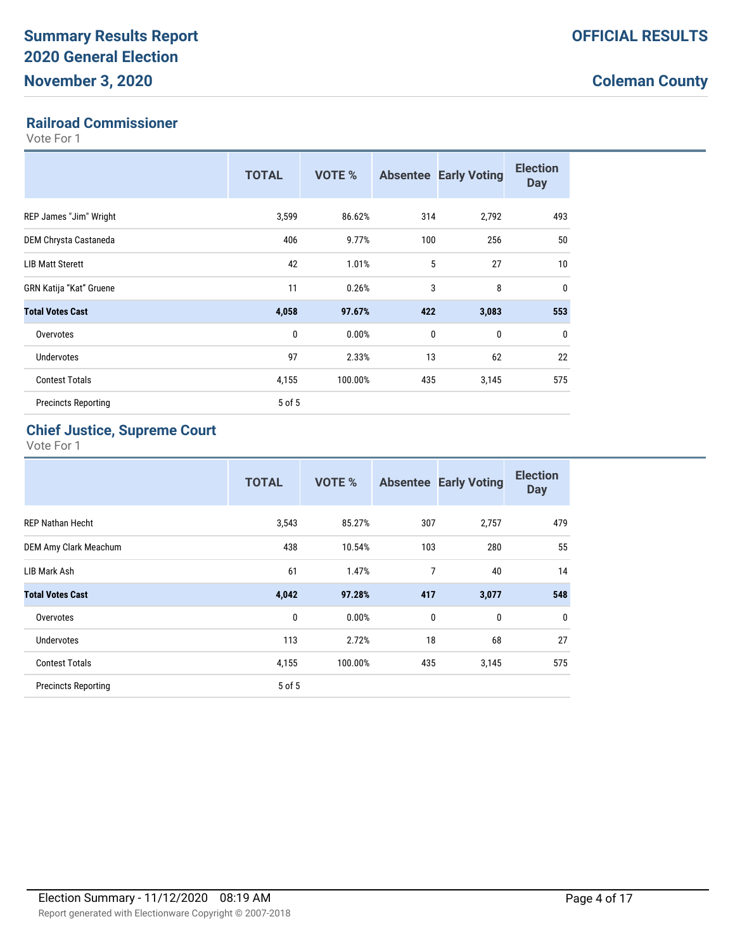#### **Railroad Commissioner**

Vote For 1

|                                | <b>TOTAL</b> | <b>VOTE %</b> |             | <b>Absentee Early Voting</b> | <b>Election</b><br><b>Day</b> |
|--------------------------------|--------------|---------------|-------------|------------------------------|-------------------------------|
| REP James "Jim" Wright         | 3,599        | 86.62%        | 314         | 2,792                        | 493                           |
| DEM Chrysta Castaneda          | 406          | 9.77%         | 100         | 256                          | 50                            |
| <b>LIB Matt Sterett</b>        | 42           | 1.01%         | 5           | 27                           | 10 <sup>1</sup>               |
| <b>GRN Katija "Kat" Gruene</b> | 11           | 0.26%         | 3           | 8                            | $\mathbf{0}$                  |
| <b>Total Votes Cast</b>        | 4,058        | 97.67%        | 422         | 3,083                        | 553                           |
| Overvotes                      | 0            | 0.00%         | $\mathbf 0$ | $\mathbf 0$                  | $\mathbf{0}$                  |
| Undervotes                     | 97           | 2.33%         | 13          | 62                           | 22                            |
| <b>Contest Totals</b>          | 4,155        | 100.00%       | 435         | 3,145                        | 575                           |
| <b>Precincts Reporting</b>     | 5 of 5       |               |             |                              |                               |

### **Chief Justice, Supreme Court**

|                            | <b>TOTAL</b> | VOTE %  |     | <b>Absentee Early Voting</b> | <b>Election</b><br><b>Day</b> |
|----------------------------|--------------|---------|-----|------------------------------|-------------------------------|
| <b>REP Nathan Hecht</b>    | 3,543        | 85.27%  | 307 | 2,757                        | 479                           |
| DEM Amy Clark Meachum      | 438          | 10.54%  | 103 | 280                          | 55                            |
| LIB Mark Ash               | 61           | 1.47%   | 7   | 40                           | 14                            |
| <b>Total Votes Cast</b>    | 4,042        | 97.28%  | 417 | 3,077                        | 548                           |
| Overvotes                  | 0            | 0.00%   | 0   | 0                            | $\mathbf 0$                   |
| <b>Undervotes</b>          | 113          | 2.72%   | 18  | 68                           | 27                            |
| <b>Contest Totals</b>      | 4,155        | 100.00% | 435 | 3,145                        | 575                           |
| <b>Precincts Reporting</b> | 5 of 5       |         |     |                              |                               |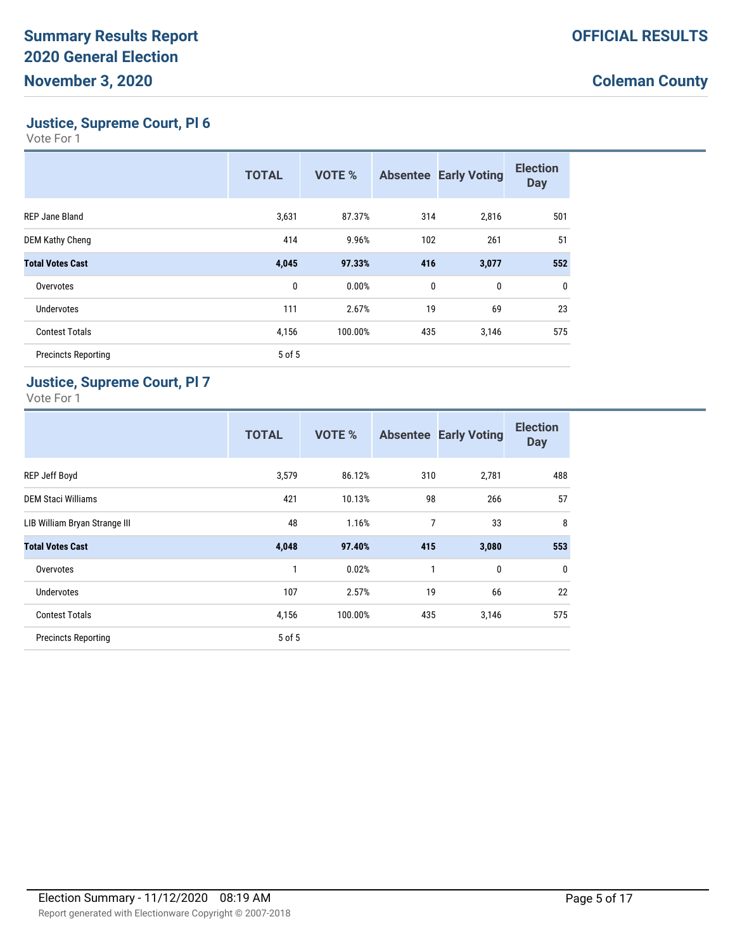**Justice, Supreme Court, Pl 6**

Vote For 1

|                            | <b>TOTAL</b> | <b>VOTE %</b> |              | <b>Absentee Early Voting</b> | <b>Election</b><br><b>Day</b> |
|----------------------------|--------------|---------------|--------------|------------------------------|-------------------------------|
| REP Jane Bland             | 3,631        | 87.37%        | 314          | 2,816                        | 501                           |
| <b>DEM Kathy Cheng</b>     | 414          | 9.96%         | 102          | 261                          | 51                            |
| <b>Total Votes Cast</b>    | 4,045        | 97.33%        | 416          | 3,077                        | 552                           |
| Overvotes                  | 0            | 0.00%         | $\mathbf{0}$ | 0                            | $\mathbf 0$                   |
| <b>Undervotes</b>          | 111          | 2.67%         | 19           | 69                           | 23                            |
| <b>Contest Totals</b>      | 4,156        | 100.00%       | 435          | 3,146                        | 575                           |
| <b>Precincts Reporting</b> | 5 of 5       |               |              |                              |                               |

#### **Justice, Supreme Court, Pl 7**

|                               | <b>TOTAL</b> | <b>VOTE %</b> |     | <b>Absentee Early Voting</b> | <b>Election</b><br><b>Day</b> |
|-------------------------------|--------------|---------------|-----|------------------------------|-------------------------------|
| REP Jeff Boyd                 | 3,579        | 86.12%        | 310 | 2,781                        | 488                           |
| <b>DEM Staci Williams</b>     | 421          | 10.13%        | 98  | 266                          | 57                            |
| LIB William Bryan Strange III | 48           | 1.16%         | 7   | 33                           | 8                             |
| <b>Total Votes Cast</b>       | 4,048        | 97.40%        | 415 | 3,080                        | 553                           |
| Overvotes                     | 1            | 0.02%         | 1   | 0                            | $\mathbf 0$                   |
| <b>Undervotes</b>             | 107          | 2.57%         | 19  | 66                           | 22                            |
| <b>Contest Totals</b>         | 4,156        | 100.00%       | 435 | 3,146                        | 575                           |
| <b>Precincts Reporting</b>    | 5 of 5       |               |     |                              |                               |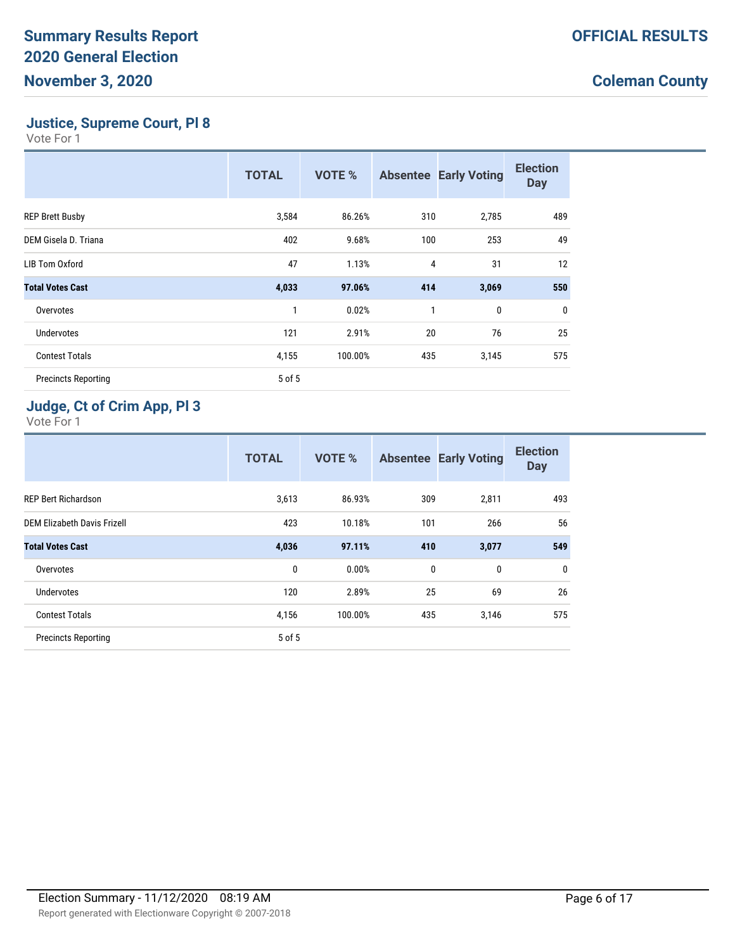**Justice, Supreme Court, Pl 8**

Vote For 1

|                            | <b>TOTAL</b> | <b>VOTE %</b> |     | <b>Absentee Early Voting</b> | <b>Election</b><br><b>Day</b> |
|----------------------------|--------------|---------------|-----|------------------------------|-------------------------------|
| <b>REP Brett Busby</b>     | 3,584        | 86.26%        | 310 | 2,785                        | 489                           |
| DEM Gisela D. Triana       | 402          | 9.68%         | 100 | 253                          | 49                            |
| LIB Tom Oxford             | 47           | 1.13%         | 4   | 31                           | 12                            |
| <b>Total Votes Cast</b>    | 4,033        | 97.06%        | 414 | 3,069                        | 550                           |
| Overvotes                  | 1            | 0.02%         | 1   | 0                            | $\mathbf 0$                   |
| Undervotes                 | 121          | 2.91%         | 20  | 76                           | 25                            |
| <b>Contest Totals</b>      | 4,155        | 100.00%       | 435 | 3,145                        | 575                           |
| <b>Precincts Reporting</b> | 5 of 5       |               |     |                              |                               |

### **Judge, Ct of Crim App, Pl 3**

|                             | <b>TOTAL</b> | <b>VOTE %</b> | <b>Absentee</b> | <b>Early Voting</b> | <b>Election</b><br><b>Day</b> |
|-----------------------------|--------------|---------------|-----------------|---------------------|-------------------------------|
| <b>REP Bert Richardson</b>  | 3,613        | 86.93%        | 309             | 2,811               | 493                           |
| DEM Elizabeth Davis Frizell | 423          | 10.18%        | 101             | 266                 | 56                            |
| <b>Total Votes Cast</b>     | 4,036        | 97.11%        | 410             | 3,077               | 549                           |
| Overvotes                   | 0            | 0.00%         | 0               | 0                   | $\mathbf 0$                   |
| <b>Undervotes</b>           | 120          | 2.89%         | 25              | 69                  | 26                            |
| <b>Contest Totals</b>       | 4,156        | 100.00%       | 435             | 3,146               | 575                           |
| <b>Precincts Reporting</b>  | 5 of 5       |               |                 |                     |                               |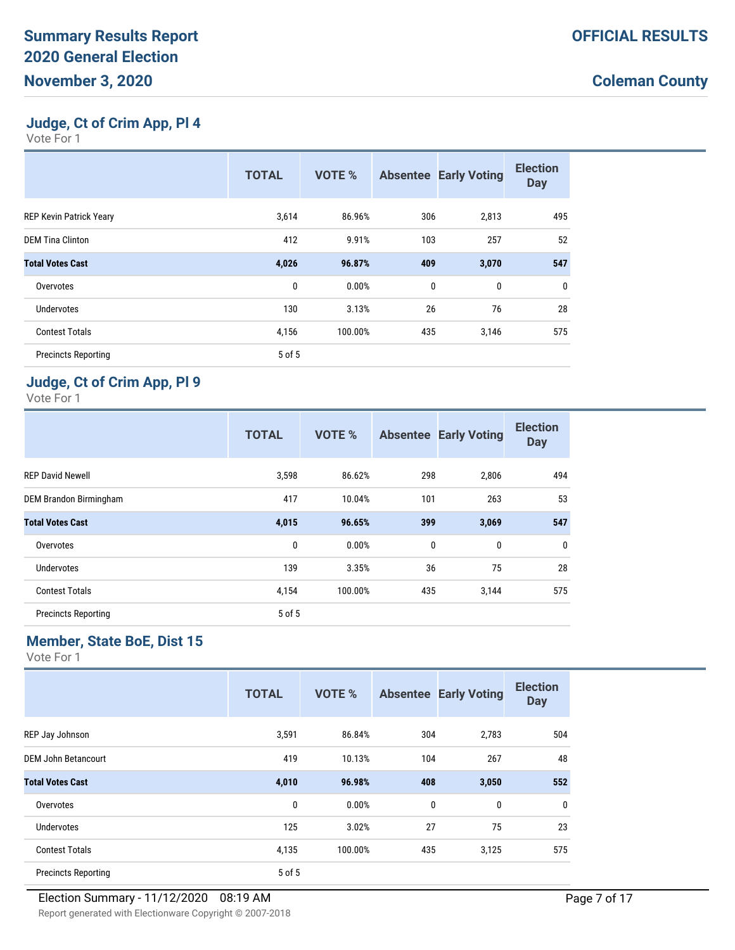**Judge, Ct of Crim App, Pl 4**

Vote For 1

|                                | <b>TOTAL</b> | <b>VOTE %</b> |             | <b>Absentee Early Voting</b> | <b>Election</b><br><b>Day</b> |
|--------------------------------|--------------|---------------|-------------|------------------------------|-------------------------------|
| <b>REP Kevin Patrick Yeary</b> | 3,614        | 86.96%        | 306         | 2,813                        | 495                           |
| <b>DEM Tina Clinton</b>        | 412          | 9.91%         | 103         | 257                          | 52                            |
| <b>Total Votes Cast</b>        | 4,026        | 96.87%        | 409         | 3,070                        | 547                           |
| Overvotes                      | 0            | 0.00%         | $\mathbf 0$ | $\mathbf{0}$                 | 0                             |
| <b>Undervotes</b>              | 130          | 3.13%         | 26          | 76                           | 28                            |
| <b>Contest Totals</b>          | 4,156        | 100.00%       | 435         | 3,146                        | 575                           |
| <b>Precincts Reporting</b>     | 5 of 5       |               |             |                              |                               |

## **Judge, Ct of Crim App, Pl 9**

Vote For 1

|                            | <b>TOTAL</b> | <b>VOTE %</b> | <b>Absentee</b> | <b>Early Voting</b> | <b>Election</b><br><b>Day</b> |
|----------------------------|--------------|---------------|-----------------|---------------------|-------------------------------|
| <b>REP David Newell</b>    | 3,598        | 86.62%        | 298             | 2,806               | 494                           |
| DEM Brandon Birmingham     | 417          | 10.04%        | 101             | 263                 | 53                            |
| <b>Total Votes Cast</b>    | 4,015        | 96.65%        | 399             | 3,069               | 547                           |
| Overvotes                  | 0            | 0.00%         | 0               | 0                   | 0                             |
| <b>Undervotes</b>          | 139          | 3.35%         | 36              | 75                  | 28                            |
| <b>Contest Totals</b>      | 4,154        | 100.00%       | 435             | 3,144               | 575                           |
| <b>Precincts Reporting</b> | 5 of 5       |               |                 |                     |                               |

## **Member, State BoE, Dist 15**

|                            | <b>TOTAL</b> | VOTE %  |              | <b>Absentee Early Voting</b> | <b>Election</b><br><b>Day</b> |
|----------------------------|--------------|---------|--------------|------------------------------|-------------------------------|
| REP Jay Johnson            | 3,591        | 86.84%  | 304          | 2,783                        | 504                           |
| DEM John Betancourt        | 419          | 10.13%  | 104          | 267                          | 48                            |
| <b>Total Votes Cast</b>    | 4,010        | 96.98%  | 408          | 3,050                        | 552                           |
| Overvotes                  | 0            | 0.00%   | $\mathbf{0}$ | 0                            | $\mathbf{0}$                  |
| <b>Undervotes</b>          | 125          | 3.02%   | 27           | 75                           | 23                            |
| <b>Contest Totals</b>      | 4,135        | 100.00% | 435          | 3,125                        | 575                           |
| <b>Precincts Reporting</b> | 5 of 5       |         |              |                              |                               |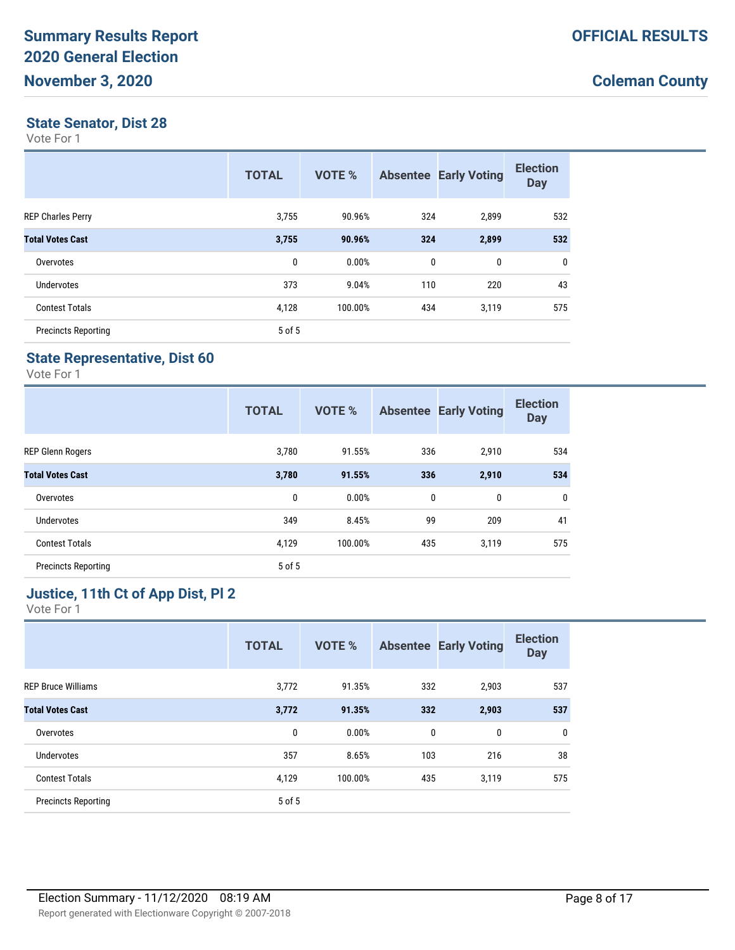#### **State Senator, Dist 28**

Vote For 1

|                            | <b>TOTAL</b> | VOTE %  |     | <b>Absentee Early Voting</b> | <b>Election</b><br><b>Day</b> |
|----------------------------|--------------|---------|-----|------------------------------|-------------------------------|
| <b>REP Charles Perry</b>   | 3,755        | 90.96%  | 324 | 2,899                        | 532                           |
| <b>Total Votes Cast</b>    | 3,755        | 90.96%  | 324 | 2,899                        | 532                           |
| Overvotes                  | 0            | 0.00%   | 0   | 0                            | 0                             |
| Undervotes                 | 373          | 9.04%   | 110 | 220                          | 43                            |
| <b>Contest Totals</b>      | 4,128        | 100.00% | 434 | 3,119                        | 575                           |
| <b>Precincts Reporting</b> | 5 of 5       |         |     |                              |                               |

#### **State Representative, Dist 60**

Vote For 1

|                            | <b>TOTAL</b> | <b>VOTE %</b> |             | <b>Absentee Early Voting</b> | <b>Election</b><br><b>Day</b> |
|----------------------------|--------------|---------------|-------------|------------------------------|-------------------------------|
| <b>REP Glenn Rogers</b>    | 3,780        | 91.55%        | 336         | 2,910                        | 534                           |
| <b>Total Votes Cast</b>    | 3,780        | 91.55%        | 336         | 2,910                        | 534                           |
| Overvotes                  | 0            | 0.00%         | $\mathbf 0$ | 0                            | $\mathbf{0}$                  |
| <b>Undervotes</b>          | 349          | 8.45%         | 99          | 209                          | 41                            |
| <b>Contest Totals</b>      | 4,129        | 100.00%       | 435         | 3,119                        | 575                           |
| <b>Precincts Reporting</b> | 5 of 5       |               |             |                              |                               |

#### **Justice, 11th Ct of App Dist, Pl 2**

|                            | <b>TOTAL</b> | <b>VOTE %</b> | <b>Absentee</b> | <b>Early Voting</b> | <b>Election</b><br><b>Day</b> |
|----------------------------|--------------|---------------|-----------------|---------------------|-------------------------------|
| <b>REP Bruce Williams</b>  | 3,772        | 91.35%        | 332             | 2,903               | 537                           |
| <b>Total Votes Cast</b>    | 3,772        | 91.35%        | 332             | 2,903               | 537                           |
| Overvotes                  | 0            | 0.00%         | 0               | 0                   | $\mathbf 0$                   |
| Undervotes                 | 357          | 8.65%         | 103             | 216                 | 38                            |
| <b>Contest Totals</b>      | 4,129        | 100.00%       | 435             | 3,119               | 575                           |
| <b>Precincts Reporting</b> | 5 of 5       |               |                 |                     |                               |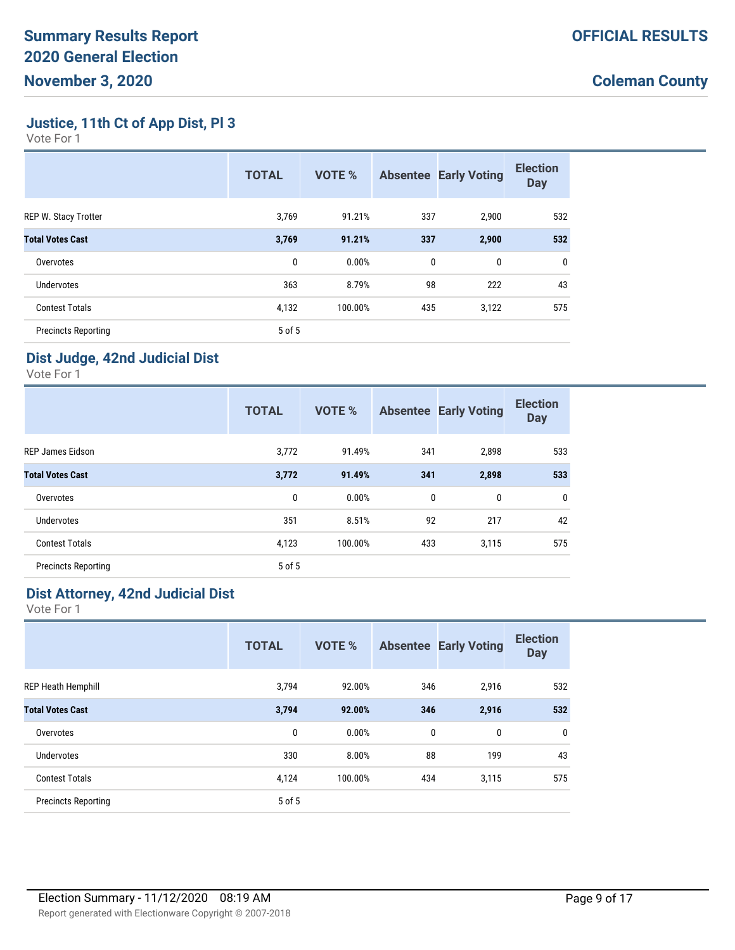**Justice, 11th Ct of App Dist, Pl 3**

Vote For 1

|                             | <b>TOTAL</b> | <b>VOTE %</b> |             | <b>Absentee Early Voting</b> | <b>Election</b><br><b>Day</b> |
|-----------------------------|--------------|---------------|-------------|------------------------------|-------------------------------|
| <b>REP W. Stacy Trotter</b> | 3,769        | 91.21%        | 337         | 2,900                        | 532                           |
| <b>Total Votes Cast</b>     | 3,769        | 91.21%        | 337         | 2,900                        | 532                           |
| Overvotes                   | 0            | 0.00%         | $\mathbf 0$ | 0                            | $\mathbf{0}$                  |
| Undervotes                  | 363          | 8.79%         | 98          | 222                          | 43                            |
| <b>Contest Totals</b>       | 4,132        | 100.00%       | 435         | 3,122                        | 575                           |
| <b>Precincts Reporting</b>  | 5 of 5       |               |             |                              |                               |

### **Dist Judge, 42nd Judicial Dist**

Vote For 1

|                            | <b>TOTAL</b> | <b>VOTE %</b> |     | <b>Absentee Early Voting</b> | <b>Election</b><br><b>Day</b> |
|----------------------------|--------------|---------------|-----|------------------------------|-------------------------------|
| <b>REP James Eidson</b>    | 3,772        | 91.49%        | 341 | 2,898                        | 533                           |
| <b>Total Votes Cast</b>    | 3,772        | 91.49%        | 341 | 2,898                        | 533                           |
| Overvotes                  | $\mathbf{0}$ | 0.00%         | 0   | 0                            | $\mathbf 0$                   |
| <b>Undervotes</b>          | 351          | 8.51%         | 92  | 217                          | 42                            |
| <b>Contest Totals</b>      | 4,123        | 100.00%       | 433 | 3,115                        | 575                           |
| <b>Precincts Reporting</b> | 5 of 5       |               |     |                              |                               |

#### **Dist Attorney, 42nd Judicial Dist**

|                            | <b>TOTAL</b> | <b>VOTE %</b> | <b>Absentee</b> | <b>Early Voting</b> | <b>Election</b><br><b>Day</b> |
|----------------------------|--------------|---------------|-----------------|---------------------|-------------------------------|
| <b>REP Heath Hemphill</b>  | 3,794        | 92.00%        | 346             | 2,916               | 532                           |
| <b>Total Votes Cast</b>    | 3,794        | 92.00%        | 346             | 2,916               | 532                           |
| Overvotes                  | 0            | 0.00%         | 0               | $\mathbf{0}$        | $\mathbf 0$                   |
| Undervotes                 | 330          | 8.00%         | 88              | 199                 | 43                            |
| <b>Contest Totals</b>      | 4,124        | 100.00%       | 434             | 3,115               | 575                           |
| <b>Precincts Reporting</b> | 5 of 5       |               |                 |                     |                               |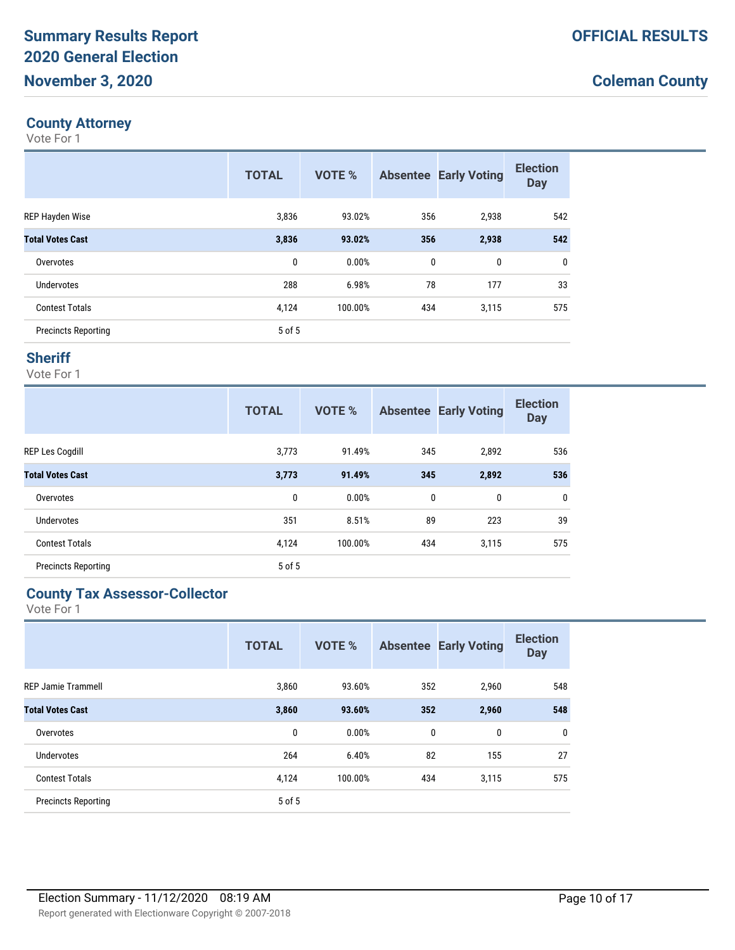#### **County Attorney**

Vote For 1

|                            | <b>TOTAL</b> | VOTE %  | <b>Absentee</b> | <b>Early Voting</b> | <b>Election</b><br><b>Day</b> |
|----------------------------|--------------|---------|-----------------|---------------------|-------------------------------|
| <b>REP Hayden Wise</b>     | 3,836        | 93.02%  | 356             | 2,938               | 542                           |
| <b>Total Votes Cast</b>    | 3,836        | 93.02%  | 356             | 2,938               | 542                           |
| Overvotes                  | 0            | 0.00%   | 0               | 0                   | 0                             |
| Undervotes                 | 288          | 6.98%   | 78              | 177                 | 33                            |
| <b>Contest Totals</b>      | 4,124        | 100.00% | 434             | 3,115               | 575                           |
| <b>Precincts Reporting</b> | 5 of 5       |         |                 |                     |                               |

#### **Sheriff**

Vote For 1

|                            | <b>TOTAL</b> | <b>VOTE %</b> | <b>Absentee</b> | <b>Early Voting</b> | <b>Election</b><br><b>Day</b> |
|----------------------------|--------------|---------------|-----------------|---------------------|-------------------------------|
| <b>REP Les Cogdill</b>     | 3,773        | 91.49%        | 345             | 2,892               | 536                           |
| <b>Total Votes Cast</b>    | 3,773        | 91.49%        | 345             | 2,892               | 536                           |
| Overvotes                  | 0            | 0.00%         | 0               | 0                   | $\mathbf 0$                   |
| Undervotes                 | 351          | 8.51%         | 89              | 223                 | 39                            |
| <b>Contest Totals</b>      | 4,124        | 100.00%       | 434             | 3,115               | 575                           |
| <b>Precincts Reporting</b> | 5 of 5       |               |                 |                     |                               |

#### **County Tax Assessor-Collector**

|                            | <b>TOTAL</b> | <b>VOTE %</b> | <b>Absentee</b> | <b>Early Voting</b> | <b>Election</b><br><b>Day</b> |
|----------------------------|--------------|---------------|-----------------|---------------------|-------------------------------|
| <b>REP Jamie Trammell</b>  | 3,860        | 93.60%        | 352             | 2,960               | 548                           |
| <b>Total Votes Cast</b>    | 3,860        | 93.60%        | 352             | 2,960               | 548                           |
| Overvotes                  | 0            | 0.00%         | 0               | 0                   | $\mathbf 0$                   |
| Undervotes                 | 264          | 6.40%         | 82              | 155                 | 27                            |
| <b>Contest Totals</b>      | 4,124        | 100.00%       | 434             | 3,115               | 575                           |
| <b>Precincts Reporting</b> | 5 of 5       |               |                 |                     |                               |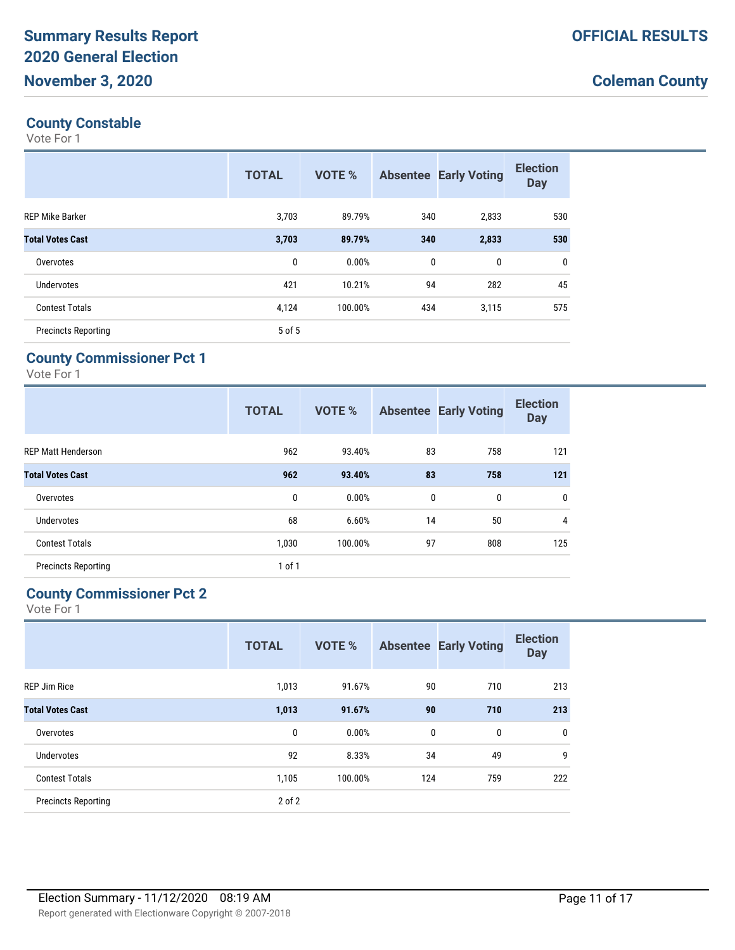## **County Constable**

Vote For 1

|                            | <b>TOTAL</b> | <b>VOTE %</b> |              | <b>Absentee Early Voting</b> | <b>Election</b><br><b>Day</b> |
|----------------------------|--------------|---------------|--------------|------------------------------|-------------------------------|
| <b>REP Mike Barker</b>     | 3,703        | 89.79%        | 340          | 2,833                        | 530                           |
| <b>Total Votes Cast</b>    | 3,703        | 89.79%        | 340          | 2,833                        | 530                           |
| Overvotes                  | 0            | 0.00%         | $\mathbf{0}$ | 0                            | 0                             |
| Undervotes                 | 421          | 10.21%        | 94           | 282                          | 45                            |
| <b>Contest Totals</b>      | 4,124        | 100.00%       | 434          | 3,115                        | 575                           |
| <b>Precincts Reporting</b> | 5 of 5       |               |              |                              |                               |

#### **County Commissioner Pct 1**

Vote For 1

|                            | <b>TOTAL</b> | <b>VOTE %</b> |              | <b>Absentee Early Voting</b> | <b>Election</b><br><b>Day</b> |
|----------------------------|--------------|---------------|--------------|------------------------------|-------------------------------|
| <b>REP Matt Henderson</b>  | 962          | 93.40%        | 83           | 758                          | 121                           |
| <b>Total Votes Cast</b>    | 962          | 93.40%        | 83           | 758                          | 121                           |
| Overvotes                  | 0            | 0.00%         | $\mathbf{0}$ | 0                            | $\mathbf{0}$                  |
| Undervotes                 | 68           | 6.60%         | 14           | 50                           | 4                             |
| <b>Contest Totals</b>      | 1,030        | 100.00%       | 97           | 808                          | 125                           |
| <b>Precincts Reporting</b> | 1 of 1       |               |              |                              |                               |

#### **County Commissioner Pct 2**

|                            | <b>TOTAL</b> | <b>VOTE %</b> | <b>Absentee</b> | <b>Early Voting</b> | <b>Election</b><br><b>Day</b> |
|----------------------------|--------------|---------------|-----------------|---------------------|-------------------------------|
| <b>REP Jim Rice</b>        | 1,013        | 91.67%        | 90              | 710                 | 213                           |
| <b>Total Votes Cast</b>    | 1,013        | 91.67%        | 90              | 710                 | 213                           |
| Overvotes                  | 0            | 0.00%         | 0               | 0                   | $\mathbf 0$                   |
| <b>Undervotes</b>          | 92           | 8.33%         | 34              | 49                  | 9                             |
| <b>Contest Totals</b>      | 1,105        | 100.00%       | 124             | 759                 | 222                           |
| <b>Precincts Reporting</b> | 2 of 2       |               |                 |                     |                               |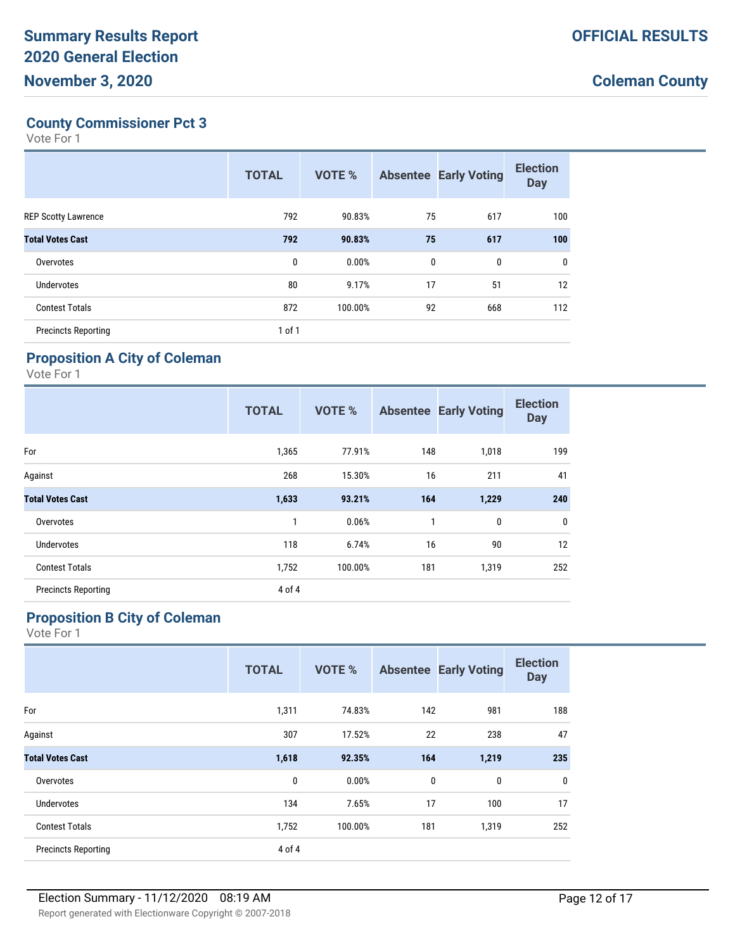## **County Commissioner Pct 3**

Vote For 1

|                            | <b>TOTAL</b> | VOTE %  |             | <b>Absentee Early Voting</b> | <b>Election</b><br><b>Day</b> |
|----------------------------|--------------|---------|-------------|------------------------------|-------------------------------|
| <b>REP Scotty Lawrence</b> | 792          | 90.83%  | 75          | 617                          | 100                           |
| <b>Total Votes Cast</b>    | 792          | 90.83%  | 75          | 617                          | 100                           |
| Overvotes                  | 0            | 0.00%   | $\mathbf 0$ | 0                            | $\mathbf 0$                   |
| Undervotes                 | 80           | 9.17%   | 17          | 51                           | 12                            |
| <b>Contest Totals</b>      | 872          | 100.00% | 92          | 668                          | 112                           |
| <b>Precincts Reporting</b> | 1 of 1       |         |             |                              |                               |

#### **Proposition A City of Coleman**

Vote For 1

|                            | <b>TOTAL</b> | <b>VOTE %</b> |     | <b>Absentee Early Voting</b> | <b>Election</b><br><b>Day</b> |
|----------------------------|--------------|---------------|-----|------------------------------|-------------------------------|
| For                        | 1,365        | 77.91%        | 148 | 1,018                        | 199                           |
| Against                    | 268          | 15.30%        | 16  | 211                          | 41                            |
| <b>Total Votes Cast</b>    | 1,633        | 93.21%        | 164 | 1,229                        | 240                           |
| Overvotes                  | $\mathbf{1}$ | 0.06%         | 1   | $\mathbf 0$                  | 0                             |
| Undervotes                 | 118          | 6.74%         | 16  | 90                           | 12                            |
| <b>Contest Totals</b>      | 1,752        | 100.00%       | 181 | 1,319                        | 252                           |
| <b>Precincts Reporting</b> | 4 of 4       |               |     |                              |                               |

#### **Proposition B City of Coleman**

|                            | <b>TOTAL</b> | VOTE %  | <b>Absentee</b> | <b>Early Voting</b> | <b>Election</b><br><b>Day</b> |
|----------------------------|--------------|---------|-----------------|---------------------|-------------------------------|
| For                        | 1,311        | 74.83%  | 142             | 981                 | 188                           |
| Against                    | 307          | 17.52%  | 22              | 238                 | 47                            |
| <b>Total Votes Cast</b>    | 1,618        | 92.35%  | 164             | 1,219               | 235                           |
| Overvotes                  | 0            | 0.00%   | $\mathbf{0}$    | $\mathbf{0}$        | $\mathbf 0$                   |
| <b>Undervotes</b>          | 134          | 7.65%   | 17              | 100                 | 17                            |
| <b>Contest Totals</b>      | 1,752        | 100.00% | 181             | 1,319               | 252                           |
| <b>Precincts Reporting</b> | 4 of 4       |         |                 |                     |                               |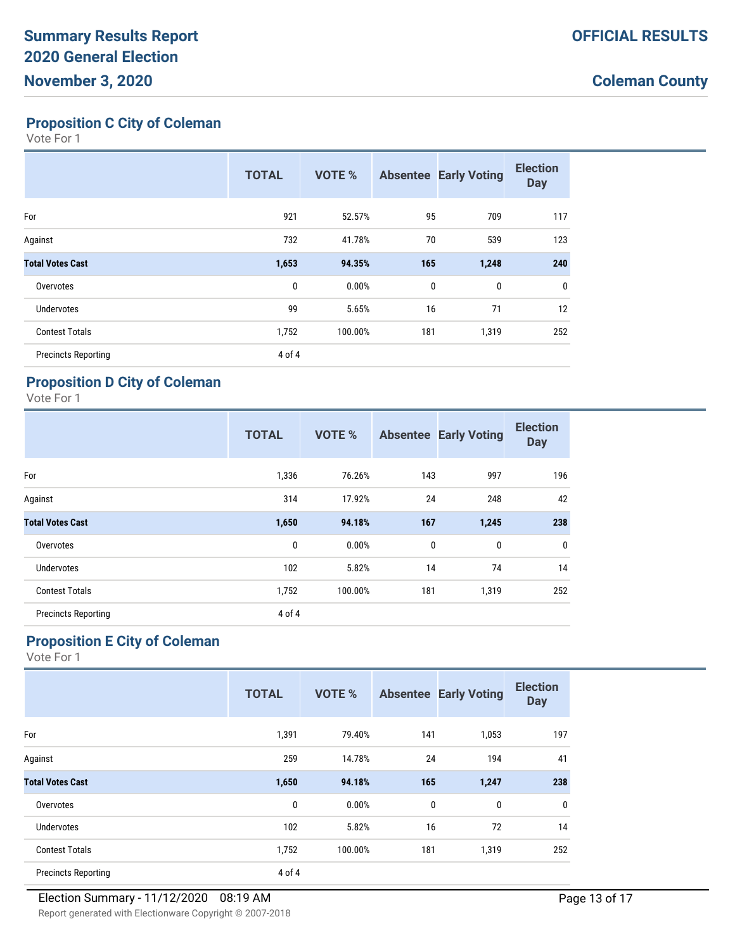#### **Proposition C City of Coleman**

Vote For 1

|                            | <b>TOTAL</b> | <b>VOTE %</b> | <b>Absentee</b> | <b>Early Voting</b> | <b>Election</b><br><b>Day</b> |
|----------------------------|--------------|---------------|-----------------|---------------------|-------------------------------|
| For                        | 921          | 52.57%        | 95              | 709                 | 117                           |
| Against                    | 732          | 41.78%        | 70              | 539                 | 123                           |
| <b>Total Votes Cast</b>    | 1,653        | 94.35%        | 165             | 1,248               | 240                           |
| Overvotes                  | 0            | 0.00%         | $\mathbf 0$     | $\mathbf 0$         | 0                             |
| <b>Undervotes</b>          | 99           | 5.65%         | 16              | 71                  | 12                            |
| <b>Contest Totals</b>      | 1,752        | 100.00%       | 181             | 1,319               | 252                           |
| <b>Precincts Reporting</b> | 4 of 4       |               |                 |                     |                               |

### **Proposition D City of Coleman**

Vote For 1

|                            | <b>TOTAL</b> | <b>VOTE %</b> |     | <b>Absentee Early Voting</b> | <b>Election</b><br><b>Day</b> |
|----------------------------|--------------|---------------|-----|------------------------------|-------------------------------|
| For                        | 1,336        | 76.26%        | 143 | 997                          | 196                           |
| Against                    | 314          | 17.92%        | 24  | 248                          | 42                            |
| <b>Total Votes Cast</b>    | 1,650        | 94.18%        | 167 | 1,245                        | 238                           |
| Overvotes                  | 0            | 0.00%         | 0   | 0                            | $\mathbf 0$                   |
| <b>Undervotes</b>          | 102          | 5.82%         | 14  | 74                           | 14                            |
| <b>Contest Totals</b>      | 1,752        | 100.00%       | 181 | 1,319                        | 252                           |
| <b>Precincts Reporting</b> | 4 of 4       |               |     |                              |                               |

### **Proposition E City of Coleman**

|                            | <b>TOTAL</b> | <b>VOTE %</b> |              | <b>Absentee Early Voting</b> | <b>Election</b><br><b>Day</b> |
|----------------------------|--------------|---------------|--------------|------------------------------|-------------------------------|
| For                        | 1,391        | 79.40%        | 141          | 1,053                        | 197                           |
| Against                    | 259          | 14.78%        | 24           | 194                          | 41                            |
| <b>Total Votes Cast</b>    | 1,650        | 94.18%        | 165          | 1,247                        | 238                           |
| Overvotes                  | $\mathbf 0$  | 0.00%         | $\mathbf{0}$ | $\mathbf{0}$                 | 0                             |
| Undervotes                 | 102          | 5.82%         | 16           | 72                           | 14                            |
| <b>Contest Totals</b>      | 1,752        | 100.00%       | 181          | 1,319                        | 252                           |
| <b>Precincts Reporting</b> | 4 of 4       |               |              |                              |                               |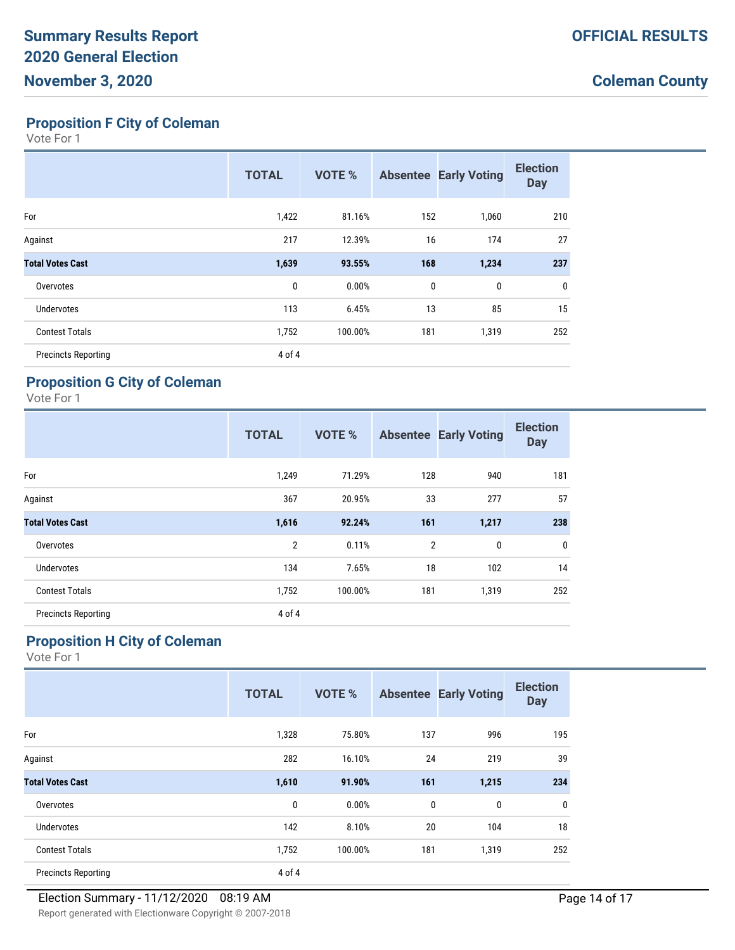#### **Proposition F City of Coleman**

Vote For 1

|                            | <b>TOTAL</b> | <b>VOTE %</b> |             | <b>Absentee Early Voting</b> | <b>Election</b><br><b>Day</b> |
|----------------------------|--------------|---------------|-------------|------------------------------|-------------------------------|
| For                        | 1,422        | 81.16%        | 152         | 1,060                        | 210                           |
| Against                    | 217          | 12.39%        | 16          | 174                          | 27                            |
| <b>Total Votes Cast</b>    | 1,639        | 93.55%        | 168         | 1,234                        | 237                           |
| Overvotes                  | 0            | 0.00%         | $\mathbf 0$ | $\mathbf 0$                  | $\mathbf 0$                   |
| Undervotes                 | 113          | 6.45%         | 13          | 85                           | 15                            |
| <b>Contest Totals</b>      | 1,752        | 100.00%       | 181         | 1,319                        | 252                           |
| <b>Precincts Reporting</b> | 4 of 4       |               |             |                              |                               |

#### **Proposition G City of Coleman**

Vote For 1

|                            | <b>TOTAL</b>   | <b>VOTE %</b> |                | <b>Absentee Early Voting</b> | <b>Election</b><br><b>Day</b> |
|----------------------------|----------------|---------------|----------------|------------------------------|-------------------------------|
| For                        | 1,249          | 71.29%        | 128            | 940                          | 181                           |
| Against                    | 367            | 20.95%        | 33             | 277                          | 57                            |
| <b>Total Votes Cast</b>    | 1,616          | 92.24%        | 161            | 1,217                        | 238                           |
| Overvotes                  | $\overline{2}$ | 0.11%         | $\overline{2}$ | 0                            | $\mathbf 0$                   |
| <b>Undervotes</b>          | 134            | 7.65%         | 18             | 102                          | 14                            |
| <b>Contest Totals</b>      | 1,752          | 100.00%       | 181            | 1,319                        | 252                           |
| <b>Precincts Reporting</b> | 4 of 4         |               |                |                              |                               |

### **Proposition H City of Coleman**

|                            | <b>TOTAL</b> | <b>VOTE %</b> |     | <b>Absentee Early Voting</b> | <b>Election</b><br><b>Day</b> |
|----------------------------|--------------|---------------|-----|------------------------------|-------------------------------|
| For                        | 1,328        | 75.80%        | 137 | 996                          | 195                           |
| Against                    | 282          | 16.10%        | 24  | 219                          | 39                            |
| <b>Total Votes Cast</b>    | 1,610        | 91.90%        | 161 | 1,215                        | 234                           |
| Overvotes                  | $\mathbf{0}$ | 0.00%         | 0   | 0                            | 0                             |
| Undervotes                 | 142          | 8.10%         | 20  | 104                          | 18                            |
| <b>Contest Totals</b>      | 1,752        | 100.00%       | 181 | 1,319                        | 252                           |
| <b>Precincts Reporting</b> | 4 of 4       |               |     |                              |                               |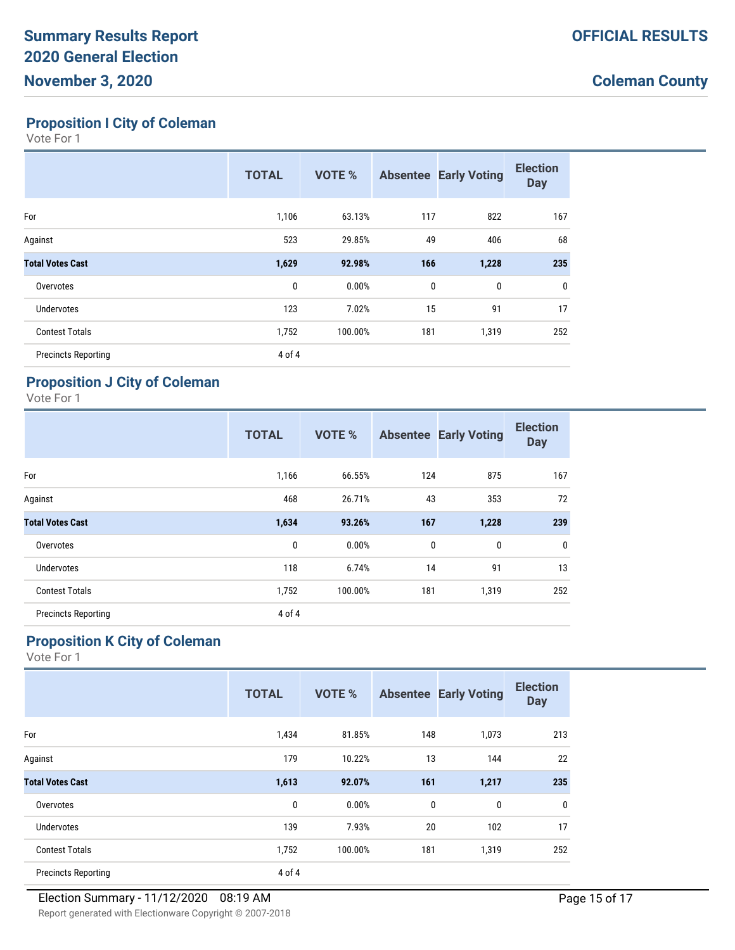**Proposition I City of Coleman**

Vote For 1

|                            | <b>TOTAL</b> | <b>VOTE %</b> |              | <b>Absentee Early Voting</b> | <b>Election</b><br><b>Day</b> |
|----------------------------|--------------|---------------|--------------|------------------------------|-------------------------------|
| For                        | 1,106        | 63.13%        | 117          | 822                          | 167                           |
| Against                    | 523          | 29.85%        | 49           | 406                          | 68                            |
| <b>Total Votes Cast</b>    | 1,629        | 92.98%        | 166          | 1,228                        | 235                           |
| Overvotes                  | 0            | 0.00%         | $\mathbf{0}$ | $\mathbf 0$                  | 0                             |
| Undervotes                 | 123          | 7.02%         | 15           | 91                           | 17                            |
| <b>Contest Totals</b>      | 1,752        | 100.00%       | 181          | 1,319                        | 252                           |
| <b>Precincts Reporting</b> | 4 of 4       |               |              |                              |                               |

### **Proposition J City of Coleman**

Vote For 1

|                            | <b>TOTAL</b> | <b>VOTE %</b> |     | <b>Absentee Early Voting</b> | <b>Election</b><br><b>Day</b> |
|----------------------------|--------------|---------------|-----|------------------------------|-------------------------------|
| For                        | 1,166        | 66.55%        | 124 | 875                          | 167                           |
| Against                    | 468          | 26.71%        | 43  | 353                          | 72                            |
| <b>Total Votes Cast</b>    | 1,634        | 93.26%        | 167 | 1,228                        | 239                           |
| Overvotes                  | 0            | 0.00%         | 0   | 0                            | 0                             |
| <b>Undervotes</b>          | 118          | 6.74%         | 14  | 91                           | 13                            |
| <b>Contest Totals</b>      | 1,752        | 100.00%       | 181 | 1,319                        | 252                           |
| <b>Precincts Reporting</b> | 4 of 4       |               |     |                              |                               |

### **Proposition K City of Coleman**

|                            | <b>TOTAL</b> | <b>VOTE %</b> |     | <b>Absentee Early Voting</b> | <b>Election</b><br><b>Day</b> |
|----------------------------|--------------|---------------|-----|------------------------------|-------------------------------|
| For                        | 1,434        | 81.85%        | 148 | 1,073                        | 213                           |
| Against                    | 179          | 10.22%        | 13  | 144                          | 22                            |
| <b>Total Votes Cast</b>    | 1,613        | 92.07%        | 161 | 1,217                        | 235                           |
| Overvotes                  | $\mathbf 0$  | 0.00%         | 0   | 0                            | 0                             |
| <b>Undervotes</b>          | 139          | 7.93%         | 20  | 102                          | 17                            |
| <b>Contest Totals</b>      | 1,752        | 100.00%       | 181 | 1,319                        | 252                           |
| <b>Precincts Reporting</b> | 4 of 4       |               |     |                              |                               |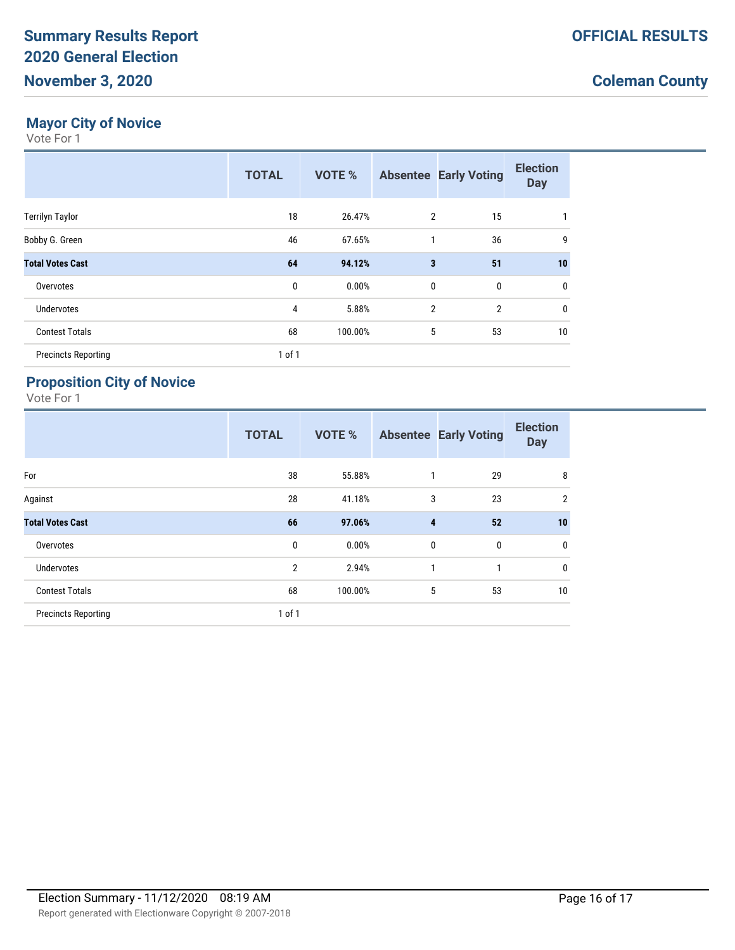### **Mayor City of Novice**

Vote For 1

|                            | <b>TOTAL</b> | <b>VOTE %</b> |                         | <b>Absentee Early Voting</b> | <b>Election</b><br><b>Day</b> |
|----------------------------|--------------|---------------|-------------------------|------------------------------|-------------------------------|
| <b>Terrilyn Taylor</b>     | 18           | 26.47%        | 2                       | 15                           | 1                             |
| Bobby G. Green             | 46           | 67.65%        | 1                       | 36                           | 9                             |
| <b>Total Votes Cast</b>    | 64           | 94.12%        | $\overline{\mathbf{3}}$ | 51                           | 10                            |
| Overvotes                  | 0            | 0.00%         | $\mathbf 0$             | $\mathbf 0$                  | 0                             |
| Undervotes                 | 4            | 5.88%         | $\overline{2}$          | $\overline{2}$               | 0                             |
| <b>Contest Totals</b>      | 68           | 100.00%       | 5                       | 53                           | 10                            |
| <b>Precincts Reporting</b> | 1 of 1       |               |                         |                              |                               |

### **Proposition City of Novice**

|                            | <b>TOTAL</b>   | <b>VOTE %</b> |          | <b>Absentee Early Voting</b> | <b>Election</b><br><b>Day</b> |
|----------------------------|----------------|---------------|----------|------------------------------|-------------------------------|
| For                        | 38             | 55.88%        | 1        | 29                           | 8                             |
| Against                    | 28             | 41.18%        | 3        | 23                           | $\overline{2}$                |
| <b>Total Votes Cast</b>    | 66             | 97.06%        | 4        | 52                           | 10                            |
| Overvotes                  | $\mathbf{0}$   | 0.00%         | $\bf{0}$ | $\boldsymbol{0}$             | 0                             |
| Undervotes                 | $\overline{2}$ | 2.94%         | 1        | 1                            | $\mathbf 0$                   |
| <b>Contest Totals</b>      | 68             | 100.00%       | 5        | 53                           | 10                            |
| <b>Precincts Reporting</b> | 1 of 1         |               |          |                              |                               |